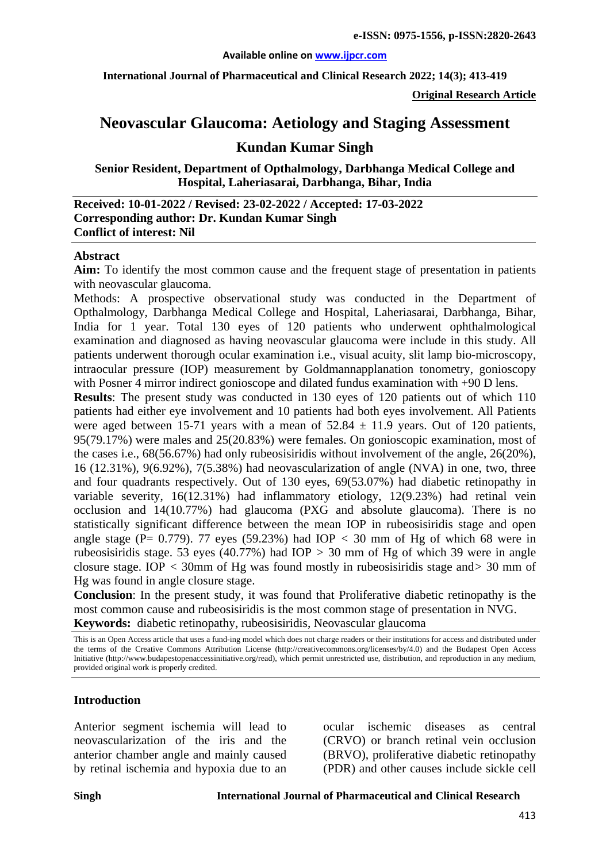#### **Available online on [www.ijpcr.com](http://www.ijpcr.com/)**

**International Journal of Pharmaceutical and Clinical Research 2022; 14(3); 413-419**

**Original Research Article**

# **Neovascular Glaucoma: Aetiology and Staging Assessment**

**Kundan Kumar Singh**

**Senior Resident, Department of Opthalmology, Darbhanga Medical College and Hospital, Laheriasarai, Darbhanga, Bihar, India**

**Received: 10-01-2022 / Revised: 23-02-2022 / Accepted: 17-03-2022 Corresponding author: Dr. Kundan Kumar Singh Conflict of interest: Nil**

#### **Abstract**

**Aim:** To identify the most common cause and the frequent stage of presentation in patients with neovascular glaucoma.

Methods: A prospective observational study was conducted in the Department of Opthalmology, Darbhanga Medical College and Hospital, Laheriasarai, Darbhanga, Bihar, India for 1 year. Total 130 eyes of 120 patients who underwent ophthalmological examination and diagnosed as having neovascular glaucoma were include in this study. All patients underwent thorough ocular examination i.e., visual acuity, slit lamp bio-microscopy, intraocular pressure (IOP) measurement by Goldmannapplanation tonometry, gonioscopy with Posner 4 mirror indirect gonioscope and dilated fundus examination with +90 D lens.

**Results**: The present study was conducted in 130 eyes of 120 patients out of which 110 patients had either eye involvement and 10 patients had both eyes involvement. All Patients were aged between 15-71 years with a mean of  $52.84 \pm 11.9$  years. Out of 120 patients, 95(79.17%) were males and 25(20.83%) were females. On gonioscopic examination, most of the cases i.e., 68(56.67%) had only rubeosisiridis without involvement of the angle, 26(20%), 16 (12.31%), 9(6.92%), 7(5.38%) had neovascularization of angle (NVA) in one, two, three and four quadrants respectively. Out of 130 eyes, 69(53.07%) had diabetic retinopathy in variable severity, 16(12.31%) had inflammatory etiology, 12(9.23%) had retinal vein occlusion and 14(10.77%) had glaucoma (PXG and absolute glaucoma). There is no statistically significant difference between the mean IOP in rubeosisiridis stage and open angle stage (P=  $0.779$ ). 77 eyes (59.23%) had IOP  $<$  30 mm of Hg of which 68 were in rubeosisiridis stage. 53 eyes (40.77%) had IOP *>* 30 mm of Hg of which 39 were in angle closure stage. IOP *<* 30mm of Hg was found mostly in rubeosisiridis stage and*>* 30 mm of Hg was found in angle closure stage.

**Conclusion**: In the present study, it was found that Proliferative diabetic retinopathy is the most common cause and rubeosisiridis is the most common stage of presentation in NVG. **Keywords:** diabetic retinopathy, rubeosisiridis, Neovascular glaucoma

This is an Open Access article that uses a fund-ing model which does not charge readers or their institutions for access and distributed under the terms of the Creative Commons Attribution License (http://creativecommons.org/licenses/by/4.0) and the Budapest Open Access Initiative (http://www.budapestopenaccessinitiative.org/read), which permit unrestricted use, distribution, and reproduction in any medium, provided original work is properly credited.

#### **Introduction**

Anterior segment ischemia will lead to neovascularization of the iris and the anterior chamber angle and mainly caused by retinal ischemia and hypoxia due to an ocular ischemic diseases as central (CRVO) or branch retinal vein occlusion (BRVO), proliferative diabetic retinopathy (PDR) and other causes include sickle cell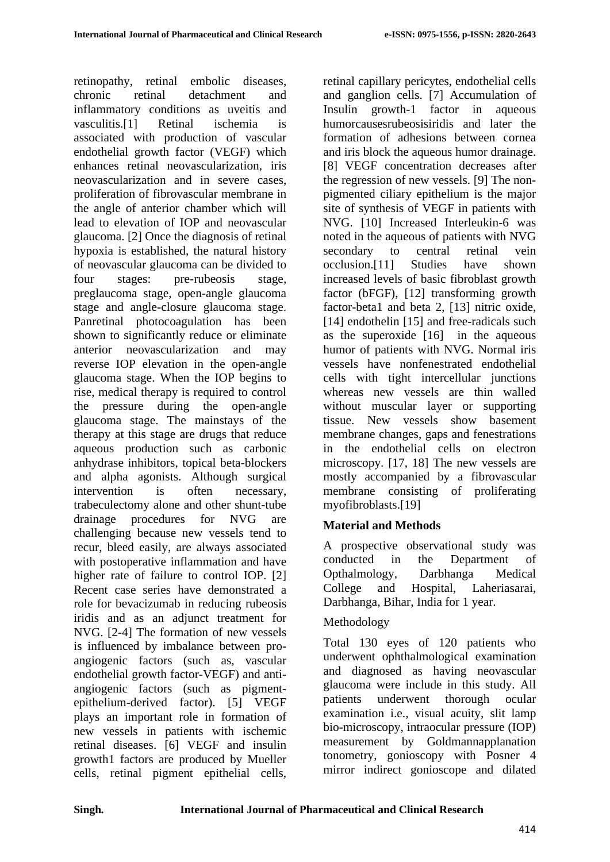retinopathy, retinal embolic diseases, chronic retinal detachment and inflammatory conditions as uveitis and vasculitis.[1] Retinal ischemia is associated with production of vascular endothelial growth factor (VEGF) which enhances retinal neovascularization, iris neovascularization and in severe cases, proliferation of fibrovascular membrane in the angle of anterior chamber which will lead to elevation of IOP and neovascular glaucoma. [2] Once the diagnosis of retinal hypoxia is established, the natural history of neovascular glaucoma can be divided to four stages: pre-rubeosis stage, preglaucoma stage, open-angle glaucoma stage and angle-closure glaucoma stage. Panretinal photocoagulation has been shown to significantly reduce or eliminate anterior neovascularization and may reverse IOP elevation in the open-angle glaucoma stage. When the IOP begins to rise, medical therapy is required to control the pressure during the open-angle glaucoma stage. The mainstays of the therapy at this stage are drugs that reduce aqueous production such as carbonic anhydrase inhibitors, topical beta-blockers and alpha agonists. Although surgical intervention is often necessary, trabeculectomy alone and other shunt-tube drainage procedures for NVG are challenging because new vessels tend to recur, bleed easily, are always associated with postoperative inflammation and have higher rate of failure to control IOP. [2] Recent case series have demonstrated a role for bevacizumab in reducing rubeosis iridis and as an adjunct treatment for NVG. [2-4] The formation of new vessels is influenced by imbalance between proangiogenic factors (such as, vascular endothelial growth factor-VEGF) and antiangiogenic factors (such as pigmentepithelium-derived factor). [5] VEGF plays an important role in formation of new vessels in patients with ischemic retinal diseases. [6] VEGF and insulin growth1 factors are produced by Mueller cells, retinal pigment epithelial cells,

retinal capillary pericytes, endothelial cells and ganglion cells. [7] Accumulation of Insulin growth-1 factor in aqueous humorcausesrubeosisiridis and later the formation of adhesions between cornea and iris block the aqueous humor drainage. [8] VEGF concentration decreases after the regression of new vessels. [9] The nonpigmented ciliary epithelium is the major site of synthesis of VEGF in patients with NVG. [10] Increased Interleukin-6 was noted in the aqueous of patients with NVG secondary to central retinal vein occlusion.[11] Studies have shown increased levels of basic fibroblast growth factor (bFGF), [12] transforming growth factor-beta1 and beta 2, [13] nitric oxide, [14] endothelin [15] and free-radicals such as the superoxide [16] in the aqueous humor of patients with NVG. Normal iris vessels have nonfenestrated endothelial cells with tight intercellular junctions whereas new vessels are thin walled without muscular layer or supporting tissue. New vessels show basement membrane changes, gaps and fenestrations in the endothelial cells on electron microscopy. [17, 18] The new vessels are mostly accompanied by a fibrovascular membrane consisting of proliferating myofibroblasts.[19]

# **Material and Methods**

A prospective observational study was conducted in the Department of Opthalmology, Darbhanga Medical College and Hospital, Laheriasarai, Darbhanga, Bihar, India for 1 year.

# Methodology

Total 130 eyes of 120 patients who underwent ophthalmological examination and diagnosed as having neovascular glaucoma were include in this study. All patients underwent thorough ocular examination i.e., visual acuity, slit lamp bio-microscopy, intraocular pressure (IOP) measurement by Goldmannapplanation tonometry, gonioscopy with Posner 4 mirror indirect gonioscope and dilated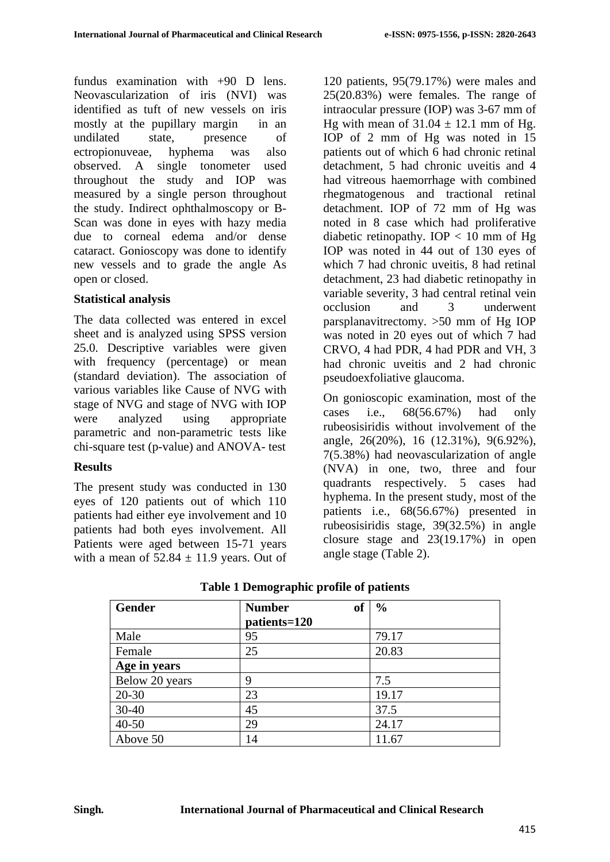fundus examination with +90 D lens. Neovascularization of iris (NVI) was identified as tuft of new vessels on iris mostly at the pupillary margin in an undilated state, presence of ectropionuveae, hyphema was also observed. A single tonometer used throughout the study and IOP was measured by a single person throughout the study. Indirect ophthalmoscopy or B-Scan was done in eyes with hazy media due to corneal edema and/or dense cataract. Gonioscopy was done to identify new vessels and to grade the angle As open or closed.

## **Statistical analysis**

The data collected was entered in excel sheet and is analyzed using SPSS version 25.0. Descriptive variables were given with frequency (percentage) or mean (standard deviation). The association of various variables like Cause of NVG with stage of NVG and stage of NVG with IOP were analyzed using appropriate parametric and non-parametric tests like chi-square test (p-value) and ANOVA- test

## **Results**

The present study was conducted in 130 eyes of 120 patients out of which 110 patients had either eye involvement and 10 patients had both eyes involvement. All Patients were aged between 15-71 years with a mean of  $52.84 \pm 11.9$  years. Out of 120 patients, 95(79.17%) were males and 25(20.83%) were females. The range of intraocular pressure (IOP) was 3-67 mm of Hg with mean of  $31.04 \pm 12.1$  mm of Hg. IOP of 2 mm of Hg was noted in 15 patients out of which 6 had chronic retinal detachment, 5 had chronic uveitis and 4 had vitreous haemorrhage with combined rhegmatogenous and tractional retinal detachment. IOP of 72 mm of Hg was noted in 8 case which had proliferative diabetic retinopathy.  $IOP < 10$  mm of Hg IOP was noted in 44 out of 130 eyes of which 7 had chronic uveitis, 8 had retinal detachment, 23 had diabetic retinopathy in variable severity, 3 had central retinal vein occlusion and 3 underwent parsplanavitrectomy. >50 mm of Hg IOP was noted in 20 eyes out of which 7 had CRVO, 4 had PDR, 4 had PDR and VH, 3 had chronic uveitis and 2 had chronic pseudoexfoliative glaucoma.

On gonioscopic examination, most of the cases i.e., 68(56.67%) had only rubeosisiridis without involvement of the angle, 26(20%), 16 (12.31%), 9(6.92%), 7(5.38%) had neovascularization of angle (NVA) in one, two, three and four quadrants respectively. 5 cases had hyphema. In the present study, most of the patients i.e., 68(56.67%) presented in rubeosisiridis stage, 39(32.5%) in angle closure stage and 23(19.17%) in open angle stage (Table 2).

| <b>Gender</b>  | of<br><b>Number</b><br>patients=120 | $\frac{0}{0}$ |
|----------------|-------------------------------------|---------------|
| Male           | 95                                  | 79.17         |
| Female         | 25                                  | 20.83         |
| Age in years   |                                     |               |
| Below 20 years | 9                                   | 7.5           |
| $20 - 30$      | 23                                  | 19.17         |
| $30 - 40$      | 45                                  | 37.5          |
| $40 - 50$      | 29                                  | 24.17         |
| Above 50       | 14                                  | 11.67         |

## **Table 1 Demographic profile of patients**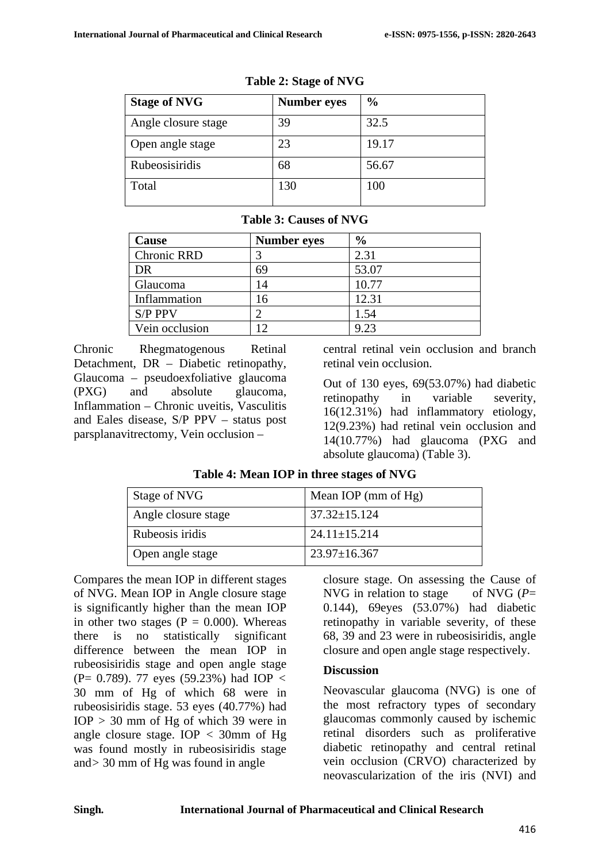| <b>Stage of NVG</b> | <b>Number eyes</b> | $\frac{6}{6}$ |
|---------------------|--------------------|---------------|
| Angle closure stage | 39                 | 32.5          |
| Open angle stage    | 23                 | 19.17         |
| Rubeosisiridis      | 68                 | 56.67         |
| Total               | 130                | 100           |

**Table 2: Stage of NVG**

## **Table 3: Causes of NVG**

| Cause              | <b>Number eyes</b> | $\frac{6}{9}$ |
|--------------------|--------------------|---------------|
| <b>Chronic RRD</b> |                    | 2.31          |
| DR                 | 69                 | 53.07         |
| Glaucoma           | 14                 | 10.77         |
| Inflammation       | 16                 | 12.31         |
| <b>S/P PPV</b>     |                    | 1.54          |
| Vein occlusion     | 12                 | 9.23          |

Chronic Rhegmatogenous Retinal Detachment, DR – Diabetic retinopathy, Glaucoma – pseudoexfoliative glaucoma (PXG) and absolute glaucoma, Inflammation – Chronic uveitis, Vasculitis and Eales disease, S/P PPV – status post parsplanavitrectomy, Vein occlusion –

central retinal vein occlusion and branch retinal vein occlusion.

Out of 130 eyes, 69(53.07%) had diabetic retinopathy in variable severity, 16(12.31%) had inflammatory etiology, 12(9.23%) had retinal vein occlusion and 14(10.77%) had glaucoma (PXG and absolute glaucoma) (Table 3).

| Stage of NVG        | Mean IOP (mm of $Hg$ ) |
|---------------------|------------------------|
| Angle closure stage | $37.32 \pm 15.124$     |
| Rubeosis iridis     | $24.11 \pm 15.214$     |
| Open angle stage    | $23.97 \pm 16.367$     |

**Table 4: Mean IOP in three stages of NVG**

Compares the mean IOP in different stages of NVG. Mean IOP in Angle closure stage is significantly higher than the mean IOP in other two stages ( $P = 0.000$ ). Whereas there is no statistically significant difference between the mean IOP in rubeosisiridis stage and open angle stage (P= 0.789). 77 eyes (59.23%) had IOP *<*  30 mm of Hg of which 68 were in rubeosisiridis stage. 53 eyes (40.77%) had IOP *>* 30 mm of Hg of which 39 were in angle closure stage. IOP *<* 30mm of Hg was found mostly in rubeosisiridis stage and*>* 30 mm of Hg was found in angle

closure stage. On assessing the Cause of NVG in relation to stage of NVG  $(P=$ 0.144), 69eyes (53.07%) had diabetic retinopathy in variable severity, of these 68, 39 and 23 were in rubeosisiridis, angle closure and open angle stage respectively.

## **Discussion**

Neovascular glaucoma (NVG) is one of the most refractory types of secondary glaucomas commonly caused by ischemic retinal disorders such as proliferative diabetic retinopathy and central retinal vein occlusion (CRVO) characterized by neovascularization of the iris (NVI) and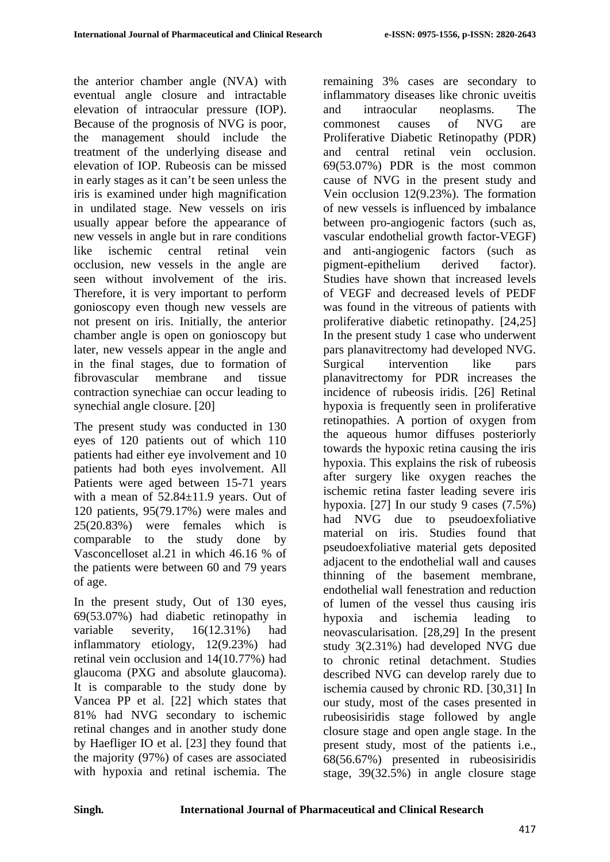the anterior chamber angle (NVA) with eventual angle closure and intractable elevation of intraocular pressure (IOP). Because of the prognosis of NVG is poor, the management should include the treatment of the underlying disease and elevation of IOP. Rubeosis can be missed in early stages as it can't be seen unless the iris is examined under high magnification in undilated stage. New vessels on iris usually appear before the appearance of new vessels in angle but in rare conditions like ischemic central retinal vein occlusion, new vessels in the angle are seen without involvement of the iris. Therefore, it is very important to perform gonioscopy even though new vessels are not present on iris. Initially, the anterior chamber angle is open on gonioscopy but later, new vessels appear in the angle and in the final stages, due to formation of fibrovascular membrane and tissue contraction synechiae can occur leading to synechial angle closure. [20]

The present study was conducted in 130 eyes of 120 patients out of which 110 patients had either eye involvement and 10 patients had both eyes involvement. All Patients were aged between 15-71 years with a mean of 52.84±11.9 years. Out of 120 patients, 95(79.17%) were males and 25(20.83%) were females which is comparable to the study done by Vasconcelloset al.21 in which 46.16 % of the patients were between 60 and 79 years of age.

In the present study, Out of 130 eyes, 69(53.07%) had diabetic retinopathy in variable severity, 16(12.31%) had inflammatory etiology, 12(9.23%) had retinal vein occlusion and 14(10.77%) had glaucoma (PXG and absolute glaucoma). It is comparable to the study done by Vancea PP et al. [22] which states that 81% had NVG secondary to ischemic retinal changes and in another study done by Haefliger IO et al. [23] they found that the majority (97%) of cases are associated with hypoxia and retinal ischemia. The remaining 3% cases are secondary to inflammatory diseases like chronic uveitis and intraocular neoplasms. The commonest causes of NVG are Proliferative Diabetic Retinopathy (PDR) and central retinal vein occlusion. 69(53.07%) PDR is the most common cause of NVG in the present study and Vein occlusion 12(9.23%). The formation of new vessels is influenced by imbalance between pro-angiogenic factors (such as, vascular endothelial growth factor-VEGF) and anti-angiogenic factors (such as pigment-epithelium derived factor). Studies have shown that increased levels of VEGF and decreased levels of PEDF was found in the vitreous of patients with proliferative diabetic retinopathy. [24,25] In the present study 1 case who underwent pars planavitrectomy had developed NVG. Surgical intervention like pars planavitrectomy for PDR increases the incidence of rubeosis iridis. [26] Retinal hypoxia is frequently seen in proliferative retinopathies. A portion of oxygen from the aqueous humor diffuses posteriorly towards the hypoxic retina causing the iris hypoxia. This explains the risk of rubeosis after surgery like oxygen reaches the ischemic retina faster leading severe iris hypoxia. [27] In our study 9 cases (7.5%) had NVG due to pseudoexfoliative material on iris. Studies found that pseudoexfoliative material gets deposited adjacent to the endothelial wall and causes thinning of the basement membrane, endothelial wall fenestration and reduction of lumen of the vessel thus causing iris hypoxia and ischemia leading to neovascularisation. [28,29] In the present study 3(2.31%) had developed NVG due to chronic retinal detachment. Studies described NVG can develop rarely due to ischemia caused by chronic RD. [30,31] In our study, most of the cases presented in rubeosisiridis stage followed by angle closure stage and open angle stage. In the present study, most of the patients i.e., 68(56.67%) presented in rubeosisiridis stage, 39(32.5%) in angle closure stage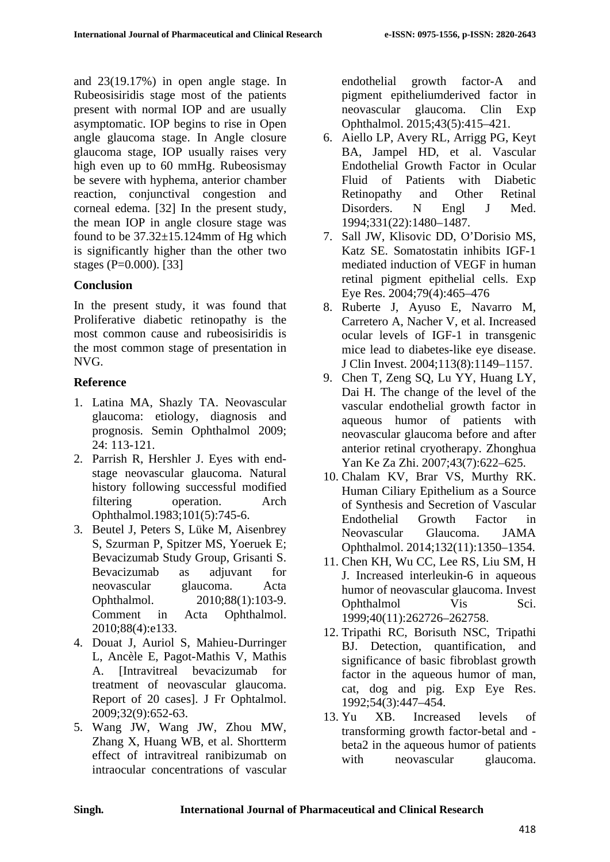and 23(19.17%) in open angle stage. In Rubeosisiridis stage most of the patients present with normal IOP and are usually asymptomatic. IOP begins to rise in Open angle glaucoma stage. In Angle closure glaucoma stage, IOP usually raises very high even up to 60 mmHg. Rubeosismay be severe with hyphema, anterior chamber reaction, conjunctival congestion and corneal edema. [32] In the present study, the mean IOP in angle closure stage was found to be 37.32*±*15.124mm of Hg which is significantly higher than the other two stages (P=0.000). [33]

## **Conclusion**

In the present study, it was found that Proliferative diabetic retinopathy is the most common cause and rubeosisiridis is the most common stage of presentation in NVG.

## **Reference**

- 1. Latina MA, Shazly TA. Neovascular glaucoma: etiology, diagnosis and prognosis. Semin Ophthalmol 2009; 24: 113-121.
- 2. Parrish R, Hershler J. Eyes with endstage neovascular glaucoma. Natural history following successful modified filtering operation. Arch Ophthalmol.1983;101(5):745-6.
- 3. Beutel J, Peters S, Lüke M, Aisenbrey S, Szurman P, Spitzer MS, Yoeruek E; Bevacizumab Study Group, Grisanti S. Bevacizumab as adjuvant for neovascular glaucoma. Acta Ophthalmol. 2010;88(1):103-9. Comment in Acta Ophthalmol. 2010;88(4):e133.
- 4. Douat J, Auriol S, Mahieu-Durringer L, Ancèle E, Pagot-Mathis V, Mathis A. [Intravitreal bevacizumab for treatment of neovascular glaucoma. Report of 20 cases]. J Fr Ophtalmol. 2009;32(9):652-63.
- 5. Wang JW, Wang JW, Zhou MW, Zhang X, Huang WB, et al. Shortterm effect of intravitreal ranibizumab on intraocular concentrations of vascular

endothelial growth factor-A and pigment epitheliumderived factor in neovascular glaucoma. Clin Exp Ophthalmol. 2015;43(5):415–421.

- 6. Aiello LP, Avery RL, Arrigg PG, Keyt BA, Jampel HD, et al. Vascular Endothelial Growth Factor in Ocular Fluid of Patients with Diabetic Retinopathy and Other Retinal Disorders. N Engl J Med. 1994;331(22):1480–1487.
- 7. Sall JW, Klisovic DD, O'Dorisio MS, Katz SE. Somatostatin inhibits IGF-1 mediated induction of VEGF in human retinal pigment epithelial cells. Exp Eye Res. 2004;79(4):465–476
- 8. Ruberte J, Ayuso E, Navarro M, Carretero A, Nacher V, et al. Increased ocular levels of IGF-1 in transgenic mice lead to diabetes-like eye disease. J Clin Invest. 2004;113(8):1149–1157.
- 9. Chen T, Zeng SQ, Lu YY, Huang LY, Dai H. The change of the level of the vascular endothelial growth factor in aqueous humor of patients with neovascular glaucoma before and after anterior retinal cryotherapy. Zhonghua Yan Ke Za Zhi. 2007;43(7):622–625.
- 10. Chalam KV, Brar VS, Murthy RK. Human Ciliary Epithelium as a Source of Synthesis and Secretion of Vascular Endothelial Growth Factor in Neovascular Glaucoma. JAMA Ophthalmol. 2014;132(11):1350–1354.
- 11. Chen KH, Wu CC, Lee RS, Liu SM, H J. Increased interleukin-6 in aqueous humor of neovascular glaucoma. Invest Ophthalmol Vis Sci. 1999;40(11):262726–262758.
- 12. Tripathi RC, Borisuth NSC, Tripathi BJ. Detection, quantification, and significance of basic fibroblast growth factor in the aqueous humor of man, cat, dog and pig. Exp Eye Res. 1992;54(3):447–454.
- 13. Yu XB. Increased levels of transforming growth factor-betal and beta2 in the aqueous humor of patients with neovascular glaucoma.